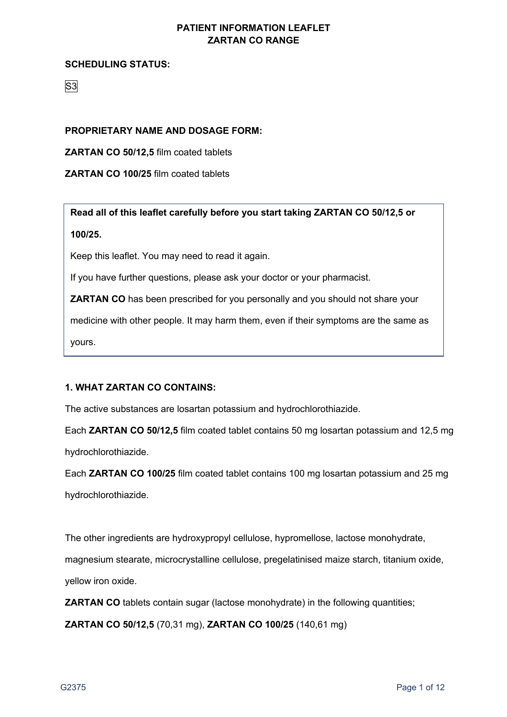### **SCHEDULING STATUS:**

# S3

# **PROPRIETARY NAME AND DOSAGE FORM:**

**ZARTAN CO 50/12,5** film coated tablets

## **ZARTAN CO 100/25** film coated tablets

**Read all of this leaflet carefully before you start taking ZARTAN CO 50/12,5 or 100/25.**

Keep this leaflet. You may need to read it again.

If you have further questions, please ask your doctor or your pharmacist.

**ZARTAN CO** has been prescribed for you personally and you should not share your

medicine with other people. It may harm them, even if their symptoms are the same as yours.

# **1. WHAT ZARTAN CO CONTAINS:**

The active substances are losartan potassium and hydrochlorothiazide.

Each **ZARTAN CO 50/12,5** film coated tablet contains 50 mg losartan potassium and 12,5 mg hydrochlorothiazide.

Each **ZARTAN CO 100/25** film coated tablet contains 100 mg losartan potassium and 25 mg hydrochlorothiazide.

The other ingredients are hydroxypropyl cellulose, hypromellose, lactose monohydrate,

magnesium stearate, microcrystalline cellulose, pregelatinised maize starch, titanium oxide,

yellow iron oxide.

**ZARTAN CO** tablets contain sugar (lactose monohydrate) in the following quantities;

**ZARTAN CO 50/12,5** (70,31 mg), **ZARTAN CO 100/25** (140,61 mg)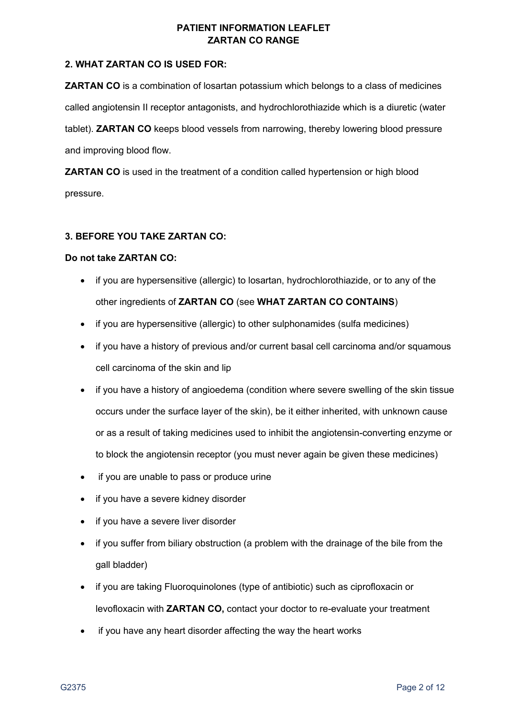## **2. WHAT ZARTAN CO IS USED FOR:**

**ZARTAN CO** is a combination of losartan potassium which belongs to a class of medicines called angiotensin II receptor antagonists, and hydrochlorothiazide which is a diuretic (water tablet). **ZARTAN CO** keeps blood vessels from narrowing, thereby lowering blood pressure and improving blood flow.

**ZARTAN CO** is used in the treatment of a condition called hypertension or high blood pressure.

#### **3. BEFORE YOU TAKE ZARTAN CO:**

#### **Do not take ZARTAN CO:**

- if you are hypersensitive (allergic) to losartan, hydrochlorothiazide, or to any of the other ingredients of **ZARTAN CO** (see **WHAT ZARTAN CO CONTAINS**)
- if you are hypersensitive (allergic) to other sulphonamides (sulfa medicines)
- if you have a history of previous and/or current basal cell carcinoma and/or squamous cell carcinoma of the skin and lip
- if you have a history of angioedema (condition where severe swelling of the skin tissue occurs under the surface layer of the skin), be it either inherited, with unknown cause or as a result of taking medicines used to inhibit the angiotensin-converting enzyme or to block the angiotensin receptor (you must never again be given these medicines)
- if you are unable to pass or produce urine
- if you have a severe kidney disorder
- if you have a severe liver disorder
- if you suffer from biliary obstruction (a problem with the drainage of the bile from the gall bladder)
- if you are taking Fluoroquinolones (type of antibiotic) such as ciprofloxacin or levofloxacin with **ZARTAN CO,** contact your doctor to re-evaluate your treatment
- if you have any heart disorder affecting the way the heart works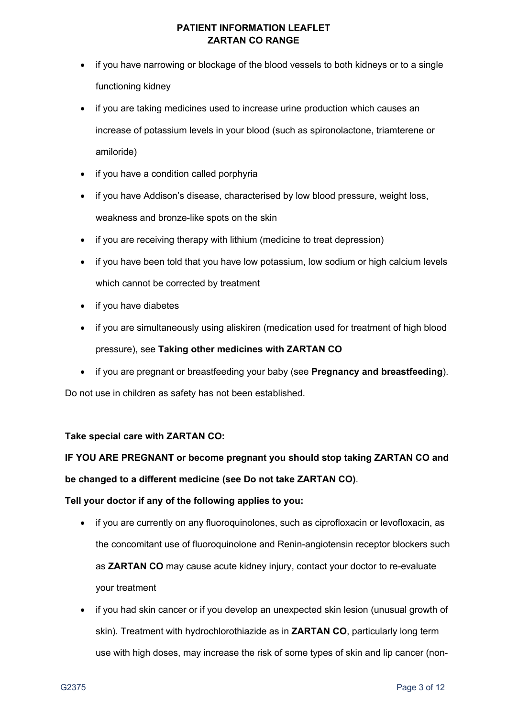- if you have narrowing or blockage of the blood vessels to both kidneys or to a single functioning kidney
- if you are taking medicines used to increase urine production which causes an increase of potassium levels in your blood (such as spironolactone, triamterene or amiloride)
- if you have a condition called porphyria
- if you have Addison's disease, characterised by low blood pressure, weight loss, weakness and bronze-like spots on the skin
- if you are receiving therapy with lithium (medicine to treat depression)
- if you have been told that you have low potassium, low sodium or high calcium levels which cannot be corrected by treatment
- if you have diabetes
- if you are simultaneously using aliskiren (medication used for treatment of high blood pressure), see **Taking other medicines with ZARTAN CO**
- if you are pregnant or breastfeeding your baby (see **Pregnancy and breastfeeding**).

Do not use in children as safety has not been established.

#### **Take special care with ZARTAN CO:**

# **IF YOU ARE PREGNANT or become pregnant you should stop taking ZARTAN CO and be changed to a different medicine (see Do not take ZARTAN CO)**.

#### **Tell your doctor if any of the following applies to you:**

- if you are currently on any fluoroquinolones, such as ciprofloxacin or levofloxacin, as the concomitant use of fluoroquinolone and Renin-angiotensin receptor blockers such as **ZARTAN CO** may cause acute kidney injury, contact your doctor to re-evaluate your treatment
- if you had skin cancer or if you develop an unexpected skin lesion (unusual growth of skin). Treatment with hydrochlorothiazide as in **ZARTAN CO**, particularly long term use with high doses, may increase the risk of some types of skin and lip cancer (non-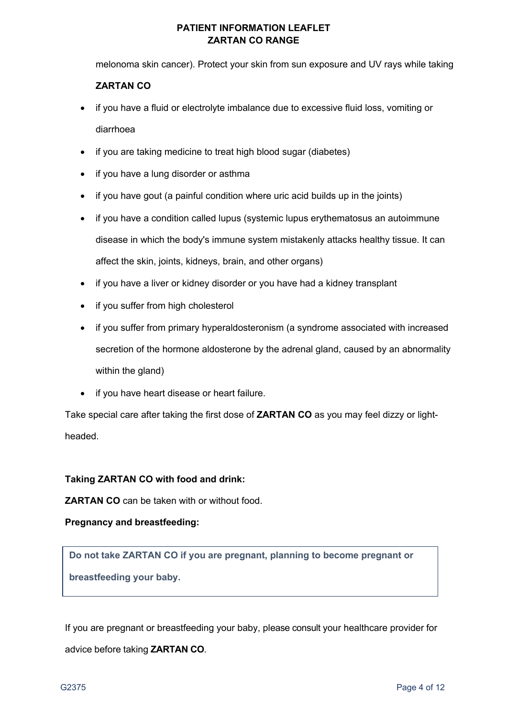melonoma skin cancer). Protect your skin from sun exposure and UV rays while taking

# **ZARTAN CO**

- if you have a fluid or electrolyte imbalance due to excessive fluid loss, vomiting or diarrhoea
- if you are taking medicine to treat high blood sugar (diabetes)
- if you have a lung disorder or asthma
- if you have gout (a painful condition where uric acid builds up in the joints)
- if you have a condition called lupus (systemic lupus erythematosus an autoimmune disease in which the body's immune system mistakenly attacks healthy tissue. It can affect the skin, joints, kidneys, brain, and other organs)
- if you have a liver or kidney disorder or you have had a kidney transplant
- if you suffer from high cholesterol
- if you suffer from primary hyperaldosteronism (a syndrome associated with increased secretion of the hormone aldosterone by the adrenal gland, caused by an abnormality within the gland)
- if you have heart disease or heart failure.

Take special care after taking the first dose of **ZARTAN CO** as you may feel dizzy or lightheaded.

#### **Taking ZARTAN CO with food and drink:**

**ZARTAN CO** can be taken with or without food.

#### **Pregnancy and breastfeeding:**

**Do not take ZARTAN CO if you are pregnant, planning to become pregnant or breastfeeding your baby.**

If you are pregnant or breastfeeding your baby, please consult your healthcare provider for advice before taking **ZARTAN CO**.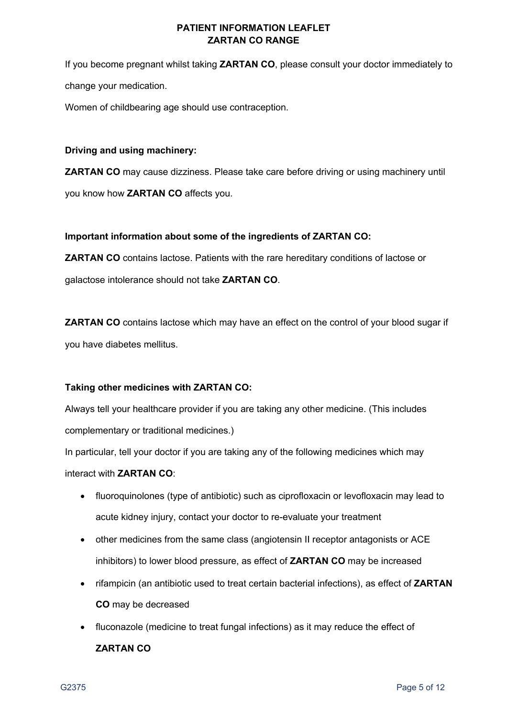If you become pregnant whilst taking **ZARTAN CO**, please consult your doctor immediately to change your medication.

Women of childbearing age should use contraception.

### **Driving and using machinery:**

**ZARTAN CO** may cause dizziness. Please take care before driving or using machinery until you know how **ZARTAN CO** affects you.

## **Important information about some of the ingredients of ZARTAN CO:**

**ZARTAN CO** contains lactose. Patients with the rare hereditary conditions of lactose or galactose intolerance should not take **ZARTAN CO**.

**ZARTAN CO** contains lactose which may have an effect on the control of your blood sugar if you have diabetes mellitus.

# **Taking other medicines with ZARTAN CO:**

Always tell your healthcare provider if you are taking any other medicine. (This includes complementary or traditional medicines.)

In particular, tell your doctor if you are taking any of the following medicines which may interact with **ZARTAN CO**:

- fluoroquinolones (type of antibiotic) such as ciprofloxacin or levofloxacin may lead to acute kidney injury, contact your doctor to re-evaluate your treatment
- other medicines from the same class (angiotensin II receptor antagonists or ACE inhibitors) to lower blood pressure, as effect of **ZARTAN CO** may be increased
- rifampicin (an antibiotic used to treat certain bacterial infections), as effect of **ZARTAN CO** may be decreased
- fluconazole (medicine to treat fungal infections) as it may reduce the effect of **ZARTAN CO**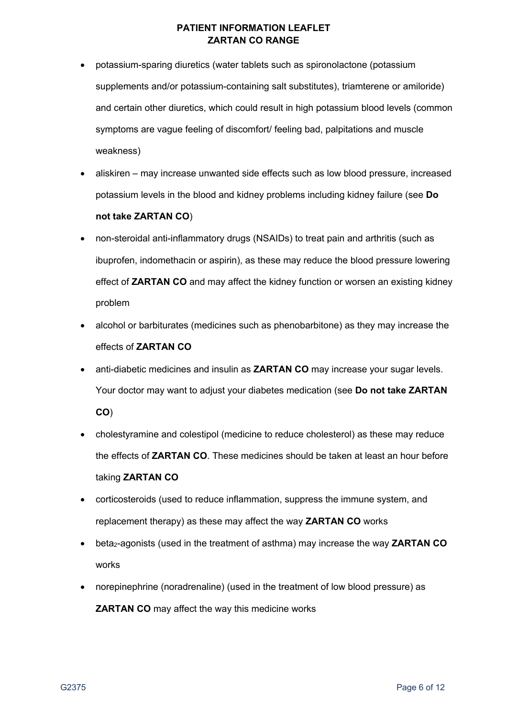- potassium-sparing diuretics (water tablets such as spironolactone (potassium supplements and/or potassium-containing salt substitutes), triamterene or amiloride) and certain other diuretics, which could result in high potassium blood levels (common symptoms are vague feeling of discomfort/ feeling bad, palpitations and muscle weakness)
- aliskiren may increase unwanted side effects such as low blood pressure, increased potassium levels in the blood and kidney problems including kidney failure (see **Do not take ZARTAN CO**)
- non-steroidal anti-inflammatory drugs (NSAIDs) to treat pain and arthritis (such as ibuprofen, indomethacin or aspirin), as these may reduce the blood pressure lowering effect of **ZARTAN CO** and may affect the kidney function or worsen an existing kidney problem
- alcohol or barbiturates (medicines such as phenobarbitone) as they may increase the effects of **ZARTAN CO**
- anti-diabetic medicines and insulin as **ZARTAN CO** may increase your sugar levels. Your doctor may want to adjust your diabetes medication (see **Do not take ZARTAN CO**)
- cholestyramine and colestipol (medicine to reduce cholesterol) as these may reduce the effects of **ZARTAN CO**. These medicines should be taken at least an hour before taking **ZARTAN CO**
- corticosteroids (used to reduce inflammation, suppress the immune system, and replacement therapy) as these may affect the way **ZARTAN CO** works
- beta<sub>2</sub>-agonists (used in the treatment of asthma) may increase the way **ZARTAN CO** works
- norepinephrine (noradrenaline) (used in the treatment of low blood pressure) as **ZARTAN CO** may affect the way this medicine works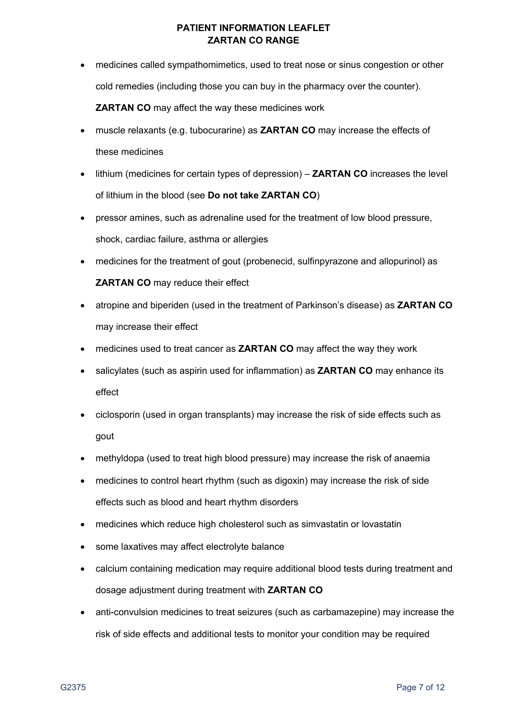- medicines called sympathomimetics, used to treat nose or sinus congestion or other cold remedies (including those you can buy in the pharmacy over the counter). **ZARTAN CO** may affect the way these medicines work
- muscle relaxants (e.g. tubocurarine) as **ZARTAN CO** may increase the effects of these medicines
- lithium (medicines for certain types of depression) **ZARTAN CO** increases the level of lithium in the blood (see **Do not take ZARTAN CO**)
- pressor amines, such as adrenaline used for the treatment of low blood pressure, shock, cardiac failure, asthma or allergies
- medicines for the treatment of gout (probenecid, sulfinpyrazone and allopurinol) as **ZARTAN CO** may reduce their effect
- atropine and biperiden (used in the treatment of Parkinson's disease) as **ZARTAN CO**  may increase their effect
- medicines used to treat cancer as **ZARTAN CO** may affect the way they work
- salicylates (such as aspirin used for inflammation) as **ZARTAN CO** may enhance its effect
- ciclosporin (used in organ transplants) may increase the risk of side effects such as gout
- methyldopa (used to treat high blood pressure) may increase the risk of anaemia
- medicines to control heart rhythm (such as digoxin) may increase the risk of side effects such as blood and heart rhythm disorders
- medicines which reduce high cholesterol such as simvastatin or lovastatin
- some laxatives may affect electrolyte balance
- calcium containing medication may require additional blood tests during treatment and dosage adjustment during treatment with **ZARTAN CO**
- anti-convulsion medicines to treat seizures (such as carbamazepine) may increase the risk of side effects and additional tests to monitor your condition may be required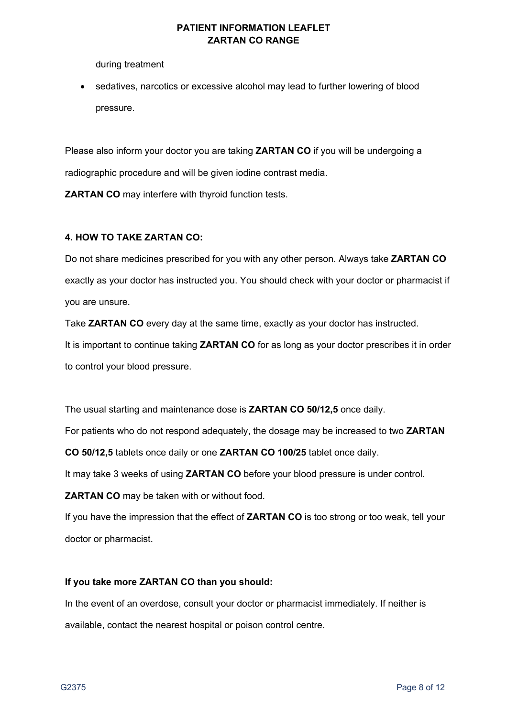during treatment

sedatives, narcotics or excessive alcohol may lead to further lowering of blood pressure.

Please also inform your doctor you are taking **ZARTAN CO** if you will be undergoing a radiographic procedure and will be given iodine contrast media.

**ZARTAN CO** may interfere with thyroid function tests.

#### **4. HOW TO TAKE ZARTAN CO:**

Do not share medicines prescribed for you with any other person. Always take **ZARTAN CO** exactly as your doctor has instructed you. You should check with your doctor or pharmacist if you are unsure.

Take **ZARTAN CO** every day at the same time, exactly as your doctor has instructed. It is important to continue taking **ZARTAN CO** for as long as your doctor prescribes it in order to control your blood pressure.

The usual starting and maintenance dose is **ZARTAN CO 50/12,5** once daily.

For patients who do not respond adequately, the dosage may be increased to two **ZARTAN** 

**CO 50/12,5** tablets once daily or one **ZARTAN CO 100/25** tablet once daily.

It may take 3 weeks of using **ZARTAN CO** before your blood pressure is under control.

**ZARTAN CO** may be taken with or without food.

If you have the impression that the effect of **ZARTAN CO** is too strong or too weak, tell your doctor or pharmacist.

#### **If you take more ZARTAN CO than you should:**

In the event of an overdose, consult your doctor or pharmacist immediately. If neither is available, contact the nearest hospital or poison control centre.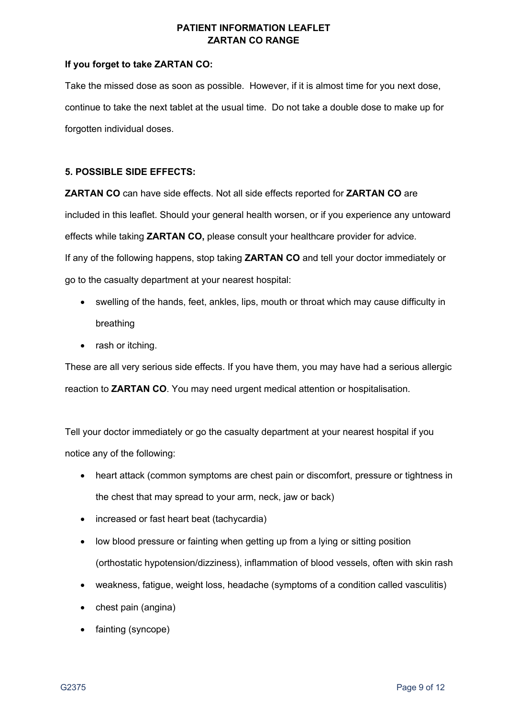### **If you forget to take ZARTAN CO:**

Take the missed dose as soon as possible. However, if it is almost time for you next dose, continue to take the next tablet at the usual time. Do not take a double dose to make up for forgotten individual doses.

## **5. POSSIBLE SIDE EFFECTS:**

**ZARTAN CO** can have side effects. Not all side effects reported for **ZARTAN CO** are included in this leaflet. Should your general health worsen, or if you experience any untoward effects while taking **ZARTAN CO,** please consult your healthcare provider for advice. If any of the following happens, stop taking **ZARTAN CO** and tell your doctor immediately or go to the casualty department at your nearest hospital:

- swelling of the hands, feet, ankles, lips, mouth or throat which may cause difficulty in breathing
- rash or itching.

These are all very serious side effects. If you have them, you may have had a serious allergic reaction to **ZARTAN CO**. You may need urgent medical attention or hospitalisation.

Tell your doctor immediately or go the casualty department at your nearest hospital if you notice any of the following:

- heart attack (common symptoms are chest pain or discomfort, pressure or tightness in the chest that may spread to your arm, neck, jaw or back)
- increased or fast heart beat (tachycardia)
- low blood pressure or fainting when getting up from a lying or sitting position (orthostatic hypotension/dizziness), inflammation of blood vessels, often with skin rash
- weakness, fatigue, weight loss, headache (symptoms of a condition called vasculitis)
- chest pain (angina)
- fainting (syncope)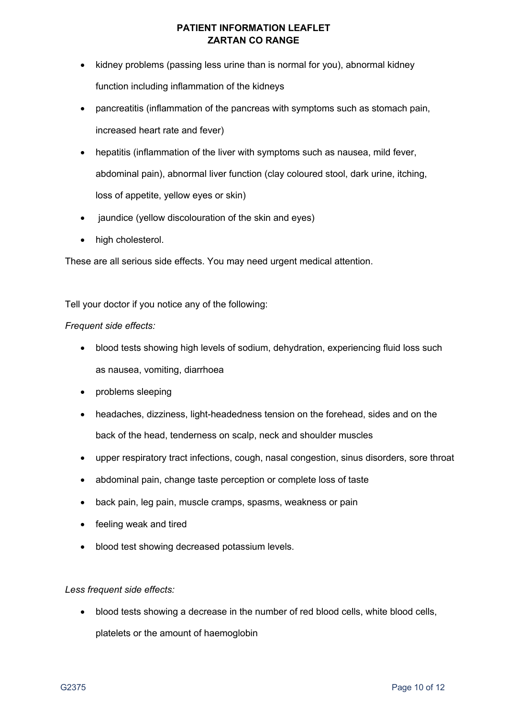- kidney problems (passing less urine than is normal for you), abnormal kidney function including inflammation of the kidneys
- pancreatitis (inflammation of the pancreas with symptoms such as stomach pain, increased heart rate and fever)
- hepatitis (inflammation of the liver with symptoms such as nausea, mild fever, abdominal pain), abnormal liver function (clay coloured stool, dark urine, itching, loss of appetite, yellow eyes or skin)
- jaundice (yellow discolouration of the skin and eyes)
- high cholesterol.

These are all serious side effects. You may need urgent medical attention.

Tell your doctor if you notice any of the following:

## *Frequent side effects:*

- blood tests showing high levels of sodium, dehydration, experiencing fluid loss such as nausea, vomiting, diarrhoea
- problems sleeping
- headaches, dizziness, light-headedness tension on the forehead, sides and on the back of the head, tenderness on scalp, neck and shoulder muscles
- upper respiratory tract infections, cough, nasal congestion, sinus disorders, sore throat
- abdominal pain, change taste perception or complete loss of taste
- back pain, leg pain, muscle cramps, spasms, weakness or pain
- feeling weak and tired
- blood test showing decreased potassium levels.

#### *Less frequent side effects:*

• blood tests showing a decrease in the number of red blood cells, white blood cells, platelets or the amount of haemoglobin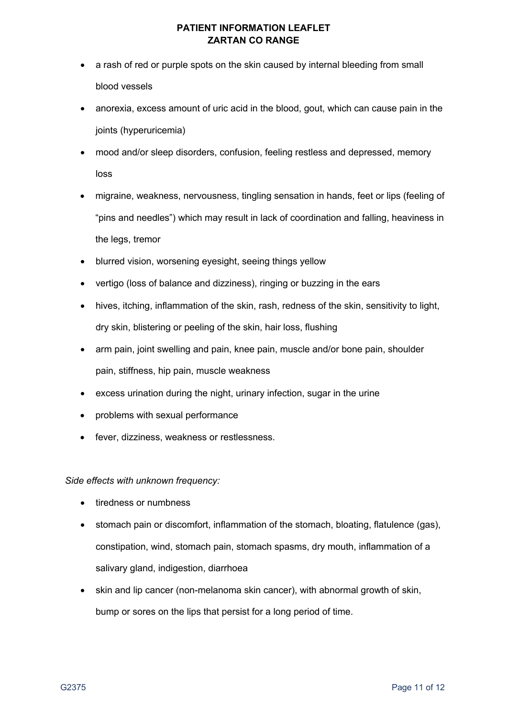- a rash of red or purple spots on the skin caused by internal bleeding from small blood vessels
- anorexia, excess amount of uric acid in the blood, gout, which can cause pain in the joints (hyperuricemia)
- mood and/or sleep disorders, confusion, feeling restless and depressed, memory loss
- migraine, weakness, nervousness, tingling sensation in hands, feet or lips (feeling of "pins and needles") which may result in lack of coordination and falling, heaviness in the legs, tremor
- blurred vision, worsening eyesight, seeing things yellow
- vertigo (loss of balance and dizziness), ringing or buzzing in the ears
- hives, itching, inflammation of the skin, rash, redness of the skin, sensitivity to light, dry skin, blistering or peeling of the skin, hair loss, flushing
- arm pain, joint swelling and pain, knee pain, muscle and/or bone pain, shoulder pain, stiffness, hip pain, muscle weakness
- excess urination during the night, urinary infection, sugar in the urine
- problems with sexual performance
- fever, dizziness, weakness or restlessness.

*Side effects with unknown frequency:*

- tiredness or numbness
- stomach pain or discomfort, inflammation of the stomach, bloating, flatulence (gas), constipation, wind, stomach pain, stomach spasms, dry mouth, inflammation of a salivary gland, indigestion, diarrhoea
- skin and lip cancer (non-melanoma skin cancer), with abnormal growth of skin, bump or sores on the lips that persist for a long period of time.